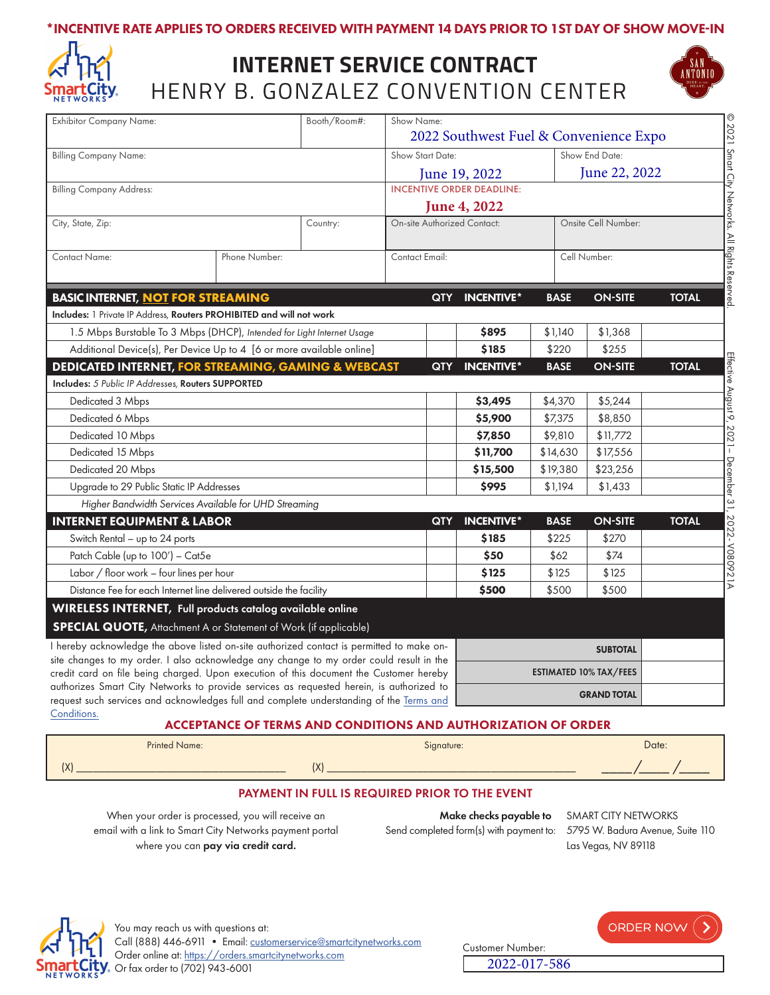### \*INCENTIVE RATE APPLIES TO ORDERS RECEIVED WITH PAYMENT 14 DAYS PRIOR TO 1ST DAY OF SHOW MOVE-IN



# HENRY B. GONZALEZ CONVENTION CENTER **INTERNET SERVICE CONTRACT**



| <b>Exhibitor Company Name:</b>                                                                                                                                                                                                                                                 |                                                       | Booth/Room#:                                               | Show Name:                                        |                     |                     |                |              |
|--------------------------------------------------------------------------------------------------------------------------------------------------------------------------------------------------------------------------------------------------------------------------------|-------------------------------------------------------|------------------------------------------------------------|---------------------------------------------------|---------------------|---------------------|----------------|--------------|
| <b>Billing Company Name:</b>                                                                                                                                                                                                                                                   |                                                       | 2022 Southwest Fuel & Convenience Expo<br>Show Start Date: |                                                   |                     | Show End Date:      |                |              |
|                                                                                                                                                                                                                                                                                |                                                       |                                                            |                                                   |                     |                     | June 22, 2022  |              |
| <b>Billing Company Address:</b>                                                                                                                                                                                                                                                |                                                       |                                                            | June 19, 2022<br><b>INCENTIVE ORDER DEADLINE:</b> |                     |                     |                |              |
|                                                                                                                                                                                                                                                                                |                                                       |                                                            |                                                   | <b>June 4, 2022</b> |                     |                |              |
| City, State, Zip:                                                                                                                                                                                                                                                              |                                                       | Country:                                                   | On-site Authorized Contact:                       |                     | Onsite Cell Number: |                |              |
| <b>Contact Name:</b>                                                                                                                                                                                                                                                           | Phone Number:                                         |                                                            | Contact Email:                                    |                     | Cell Number:        |                |              |
|                                                                                                                                                                                                                                                                                |                                                       |                                                            |                                                   |                     |                     |                |              |
| <b>BASIC INTERNET, NOT FOR STREAMING</b>                                                                                                                                                                                                                                       |                                                       |                                                            | <b>QTY</b>                                        | <b>INCENTIVE*</b>   | <b>BASE</b>         | <b>ON-SITE</b> | <b>TOTAL</b> |
| Includes: 1 Private IP Address, Routers PROHIBITED and will not work                                                                                                                                                                                                           |                                                       |                                                            |                                                   |                     |                     |                |              |
| 1.5 Mbps Burstable To 3 Mbps (DHCP), Intended for Light Internet Usage                                                                                                                                                                                                         |                                                       |                                                            |                                                   | \$895               | \$1,140             | \$1,368        |              |
| Additional Device(s), Per Device Up to 4 [6 or more available online]                                                                                                                                                                                                          |                                                       |                                                            |                                                   | \$185               | \$220               | \$255          |              |
| <b>DEDICATED INTERNET, FOR STREAMING, GAMING &amp; WEBCAST</b>                                                                                                                                                                                                                 |                                                       |                                                            | QTY                                               | <b>INCENTIVE*</b>   | <b>BASE</b>         | <b>ON-SITE</b> | <b>TOTAL</b> |
| Includes: 5 Public IP Addresses, Routers SUPPORTED                                                                                                                                                                                                                             |                                                       |                                                            |                                                   |                     |                     |                |              |
| Dedicated 3 Mbps                                                                                                                                                                                                                                                               |                                                       |                                                            |                                                   | \$3,495             | \$4,370             | \$5,244        |              |
| Dedicated 6 Mbps                                                                                                                                                                                                                                                               |                                                       |                                                            |                                                   | \$5,900             | \$7,375             | \$8,850        |              |
| Dedicated 10 Mbps                                                                                                                                                                                                                                                              |                                                       |                                                            |                                                   | \$7,850             | \$9,810             | \$11,772       |              |
| Dedicated 15 Mbps                                                                                                                                                                                                                                                              |                                                       |                                                            |                                                   | \$11,700            | \$14,630            | \$17,556       |              |
| Dedicated 20 Mbps                                                                                                                                                                                                                                                              |                                                       |                                                            |                                                   | \$15,500            | \$19,380            | \$23,256       |              |
| Upgrade to 29 Public Static IP Addresses                                                                                                                                                                                                                                       |                                                       |                                                            |                                                   | \$995               | \$1,194             | \$1,433        |              |
|                                                                                                                                                                                                                                                                                | Higher Bandwidth Services Available for UHD Streaming |                                                            |                                                   |                     |                     |                |              |
| <b>INTERNET EQUIPMENT &amp; LABOR</b>                                                                                                                                                                                                                                          |                                                       |                                                            | <b>QTY</b>                                        | <b>INCENTIVE*</b>   | <b>BASE</b>         | <b>ON-SITE</b> | <b>TOTAL</b> |
| Switch Rental - up to 24 ports                                                                                                                                                                                                                                                 |                                                       |                                                            |                                                   | \$185               | \$225               | \$270          |              |
| Patch Cable (up to 100') - Cat5e                                                                                                                                                                                                                                               |                                                       |                                                            |                                                   | \$50                | \$62                | \$74           |              |
| Labor / floor work - four lines per hour                                                                                                                                                                                                                                       |                                                       |                                                            | \$125                                             | \$125               | \$125               |                |              |
| Distance Fee for each Internet line delivered outside the facility                                                                                                                                                                                                             |                                                       |                                                            |                                                   | \$500               | \$500               | \$500          |              |
| WIRELESS INTERNET, Full products catalog available online                                                                                                                                                                                                                      |                                                       |                                                            |                                                   |                     |                     |                |              |
| <b>SPECIAL QUOTE, Attachment A or Statement of Work (if applicable)</b>                                                                                                                                                                                                        |                                                       |                                                            |                                                   |                     |                     |                |              |
| I hereby acknowledge the above listed on-site authorized contact is permitted to make on-<br>site changes to my order. I also acknowledge any change to my order could result in the<br>credit card on file being charged. Upon execution of this document the Customer hereby |                                                       |                                                            | <b>SUBTOTAL</b>                                   |                     |                     |                |              |
|                                                                                                                                                                                                                                                                                |                                                       |                                                            | <b>ESTIMATED 10% TAX/FEES</b>                     |                     |                     |                |              |
| authorizes Smart City Networks to provide services as requested herein, is authorized to                                                                                                                                                                                       |                                                       |                                                            |                                                   |                     |                     |                |              |
| request such services and acknowledges full and complete understanding of the Terms and                                                                                                                                                                                        |                                                       |                                                            |                                                   |                     | <b>GRAND TOTAL</b>  |                |              |

[Conditions.](https://cdn-public.smartcitynetworks.com/tcforms/099/TNC.pdf?ver=1628880143)

#### ACCEPTANCE OF TERMS AND CONDITIONS AND AUTHORIZATION OF ORDER

| <b>Printed Name:</b> | Signature:              | Date: |
|----------------------|-------------------------|-------|
| (X)                  | $\sqrt{ }$<br>$\Lambda$ |       |

#### PAYMENT IN FULL IS REQUIRED PRIOR TO THE EVENT

When your order is processed, you will receive an email with a link to Smart City Networks payment portal where you can pay via credit card.

Make checks payable to SMART CITY NETWORKS Send completed form(s) with payment to: 5795 W. Badura Avenue, Suite 110

Las Vegas, NV 89118



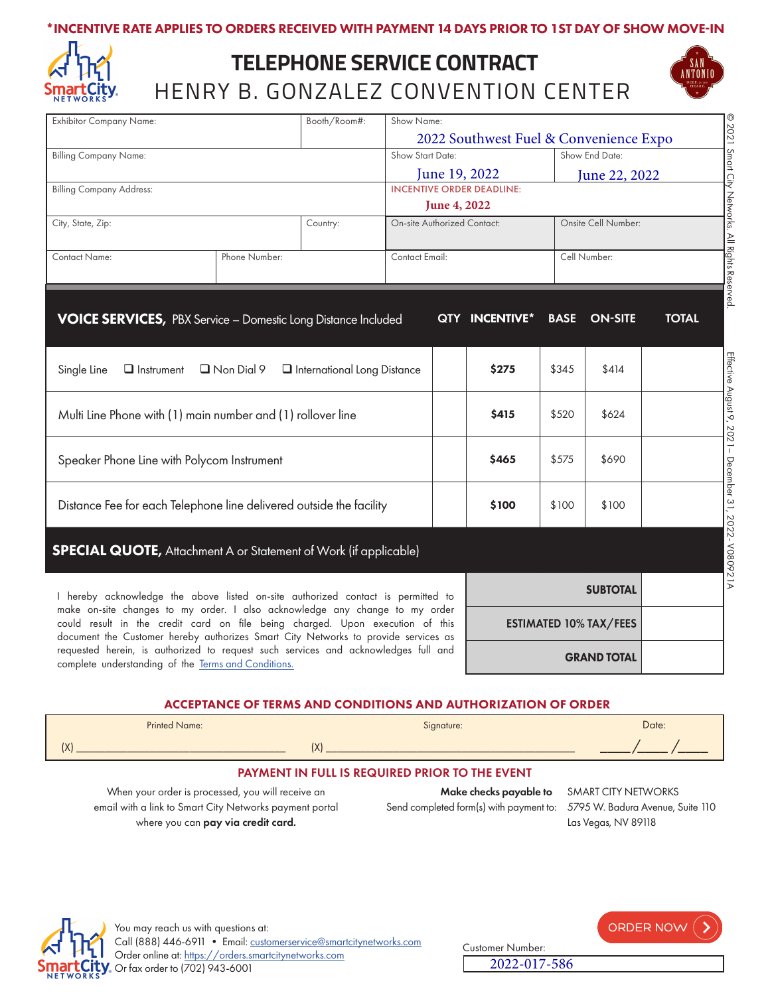### \*INCENTIVE RATE APPLIES TO ORDERS RECEIVED WITH PAYMENT 14 DAYS PRIOR TO 1ST DAY OF SHOW MOVE-IN



# HENRY B. GONZALEZ CONVENTION CENTER **TELEPHONE SERVICE CONTRACT**



| <b>Exhibitor Company Name:</b>                                                                                                                                                                                                                                                                                                                                                                                                                                                      |               | Booth/Room#:                | Show Name:                    |                                    |                                        |              |                     |              |
|-------------------------------------------------------------------------------------------------------------------------------------------------------------------------------------------------------------------------------------------------------------------------------------------------------------------------------------------------------------------------------------------------------------------------------------------------------------------------------------|---------------|-----------------------------|-------------------------------|------------------------------------|----------------------------------------|--------------|---------------------|--------------|
|                                                                                                                                                                                                                                                                                                                                                                                                                                                                                     |               |                             |                               |                                    | 2022 Southwest Fuel & Convenience Expo |              |                     |              |
| <b>Billing Company Name:</b>                                                                                                                                                                                                                                                                                                                                                                                                                                                        |               |                             | Show Start Date:              |                                    |                                        |              | Show End Date:      |              |
|                                                                                                                                                                                                                                                                                                                                                                                                                                                                                     |               |                             | June 19, 2022                 |                                    | June 22, 2022                          |              |                     |              |
| <b>Billing Company Address:</b>                                                                                                                                                                                                                                                                                                                                                                                                                                                     |               |                             |                               | <b>INCENTIVE ORDER DEADLINE:</b>   |                                        |              |                     |              |
|                                                                                                                                                                                                                                                                                                                                                                                                                                                                                     |               |                             | June 4, 2022                  |                                    |                                        |              |                     |              |
| City, State, Zip:                                                                                                                                                                                                                                                                                                                                                                                                                                                                   | Country:      |                             |                               | <b>On-site Authorized Contact:</b> |                                        |              | Onsite Cell Number: |              |
| <b>Contact Name:</b>                                                                                                                                                                                                                                                                                                                                                                                                                                                                | Phone Number: |                             | Contact Email:                |                                    |                                        | Cell Number: |                     |              |
|                                                                                                                                                                                                                                                                                                                                                                                                                                                                                     |               |                             |                               |                                    |                                        |              |                     |              |
| <b>VOICE SERVICES, PBX Service - Domestic Long Distance Included</b>                                                                                                                                                                                                                                                                                                                                                                                                                |               |                             |                               |                                    | QTY INCENTIVE*                         | <b>BASE</b>  | <b>ON-SITE</b>      | <b>TOTAL</b> |
| Single Line<br>$\Box$ Instrument                                                                                                                                                                                                                                                                                                                                                                                                                                                    | Non Dial 9    | International Long Distance |                               |                                    | \$275                                  | \$345        | \$414               |              |
|                                                                                                                                                                                                                                                                                                                                                                                                                                                                                     |               |                             |                               |                                    |                                        |              |                     |              |
| Multi Line Phone with (1) main number and (1) rollover line                                                                                                                                                                                                                                                                                                                                                                                                                         |               |                             |                               |                                    | \$415                                  | \$520        | \$624               |              |
| Speaker Phone Line with Polycom Instrument                                                                                                                                                                                                                                                                                                                                                                                                                                          |               |                             |                               |                                    | \$465                                  | \$575        | \$690               |              |
| Distance Fee for each Telephone line delivered outside the facility<br>\$100<br>\$100<br>\$100                                                                                                                                                                                                                                                                                                                                                                                      |               |                             |                               |                                    |                                        |              |                     |              |
| <b>SPECIAL QUOTE, Attachment A or Statement of Work (if applicable)</b>                                                                                                                                                                                                                                                                                                                                                                                                             |               |                             |                               |                                    |                                        |              |                     |              |
| I hereby acknowledge the above listed on-site authorized contact is permitted to<br>make on-site changes to my order. I also acknowledge any change to my order<br>could result in the credit card on file being charged. Upon execution of this<br>document the Customer hereby authorizes Smart City Networks to provide services as<br>requested herein, is authorized to request such services and acknowledges full and<br>complete understanding of the Terms and Conditions. |               |                             |                               | <b>SUBTOTAL</b>                    |                                        |              |                     |              |
|                                                                                                                                                                                                                                                                                                                                                                                                                                                                                     |               |                             | <b>ESTIMATED 10% TAX/FEES</b> |                                    |                                        |              |                     |              |
|                                                                                                                                                                                                                                                                                                                                                                                                                                                                                     |               |                             | <b>GRAND TOTAL</b>            |                                    |                                        |              |                     |              |

### ACCEPTANCE OF TERMS AND CONDITIONS AND AUTHORIZATION OF ORDER

|                                                               | <b>Printed Name:</b> | Signature: | Date: |  |  |  |
|---------------------------------------------------------------|----------------------|------------|-------|--|--|--|
|                                                               |                      | IX'        |       |  |  |  |
| <b>PAYMENT IN FULL IS REQUIRED PRIOR TO THE EVENT</b>         |                      |            |       |  |  |  |
| $M_{\rm vir}$ . In the second line of CAA BT CITY NIFTIALODIC |                      |            |       |  |  |  |

When your order is processed, you will receive an email with a link to Smart City Networks payment portal where you can pay via credit card.

Make checks payable to SMART CITY NETWORKS Send completed form(s) with payment to: 5795 W. Badura Avenue, Suite 110

2022-017-586

Las Vegas, NV 89118



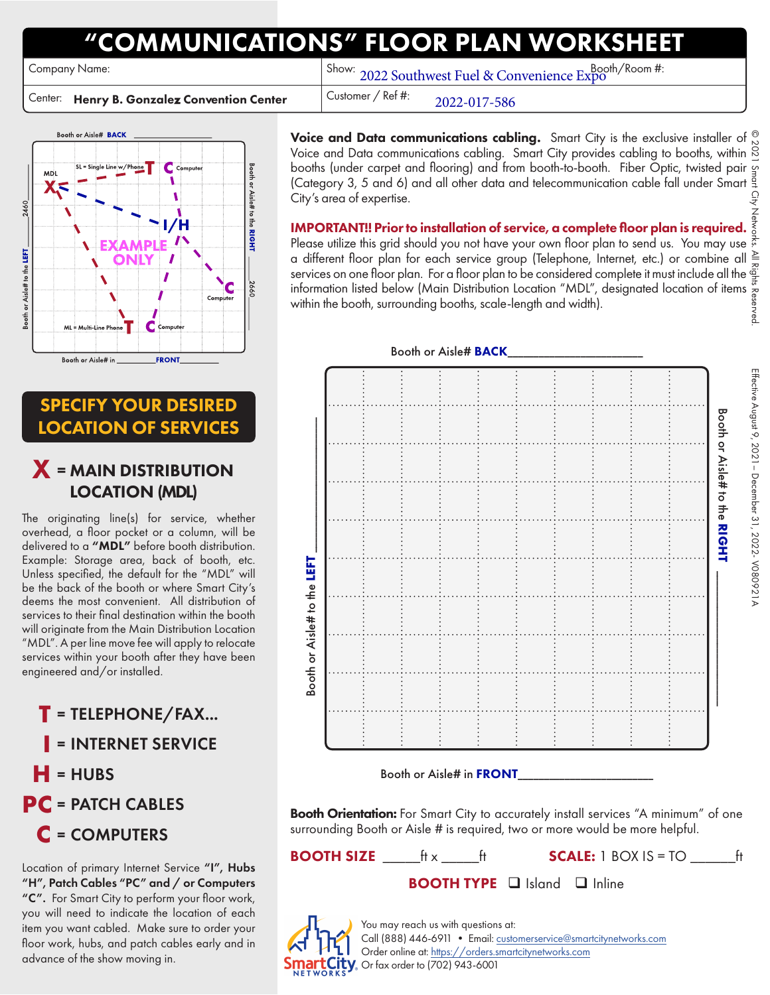# COMMUNICATIONS" FLOOR PLAN WOR

Center: Henry B. Gonzalez Convention Center | Customer / Ref #:

Company Name: Booth/Room #: Show: 2022 Southwest Fuel & Convenience Expo

2022-017-586

Booth or Aisle# BACK MD  $\frac{1}{2}$ Aisle# to the  $1/H$ **RIGHT** Aisle# to the LEFT 1 Com **FRONT** Booth or Aisle# in

## SPECIFY YOUR DESIRED LOCATION OF SERVICES

# X <sup>=</sup> MAIN DISTRIBUTION LOCATION (MDL)

The originating line(s) for service, whether overhead, a floor pocket or a column, will be delivered to a "MDL" before booth distribution. Example: Storage area, back of booth, etc. Unless specified, the default for the "MDL" will be the back of the booth or where Smart City's deems the most convenient. All distribution of services to their final destination within the booth will originate from the Main Distribution Location "MDL". A per line move fee will apply to relocate services within your booth after they have been engineered and/or installed.

**T** <sup>=</sup>TELEPHONE/FAX... **I** <sup>=</sup>INTERNET SERVICE  $=$ HUBS **PC** = PATCH CABLES **C** <sup>=</sup>COMPUTERS

Location of primary Internet Service "I", Hubs "H", Patch Cables "PC" and / or Computers "C". For Smart City to perform your floor work, you will need to indicate the location of each item you want cabled. Make sure to order your floor work, hubs, and patch cables early and in advance of the show moving in.

Voice and Data communications cabling. Smart City is the exclusive installer of  $\frac{\infty}{N}$ Voice and Data communications cabling. Smart City provides cabling to booths, within  $\frac{8}{5}$ booths (under carpet and flooring) and from booth-to-booth. Fiber Optic, twisted pair  $\frac{1}{3}$ (Category 3, 5 and 6) and all other data and telecommunication cable fall under Smart  $\frac{3}{4}$ <br>City's area of expertise. City's area of expertise. © 2021 Smart City Networks. All Rights Reserved.

IMPORTANT!! Prior to installation of service, a complete floor plan is required.  $\bar{\bar{\xi}}$ Please utilize this grid should you not have your own floor plan to send us. You may use  $\vec{\hat{z}}$ a different floor plan for each service group (Telephone, Internet, etc.) or combine all services on one floor plan. For a floor plan to be considered complete it must include all the information listed below (Main Distribution Location "MDL", designated location of items within the booth, surrounding booths, scale-length and width). ∧eq





Booth or Aisle# in FRONT

**Booth Orientation:** For Smart City to accurately install services "A minimum" of one surrounding Booth or Aisle # is required, two or more would be more helpful.

**BOOTH SIZE**  $\qquad$   $\qquad$   $\qquad$   $\qquad$   $\qquad$   $\qquad$   $\qquad$   $\qquad$   $\qquad$   $\qquad$   $\qquad$   $\qquad$   $\qquad$   $\qquad$   $\qquad$   $\qquad$   $\qquad$   $\qquad$   $\qquad$   $\qquad$   $\qquad$   $\qquad$   $\qquad$   $\qquad$   $\qquad$   $\qquad$   $\qquad$   $\qquad$   $\qquad$   $\qquad$   $\qquad$   $\qquad$   $\qquad$   $\qquad$   $\qquad$ **BOOTH TYPE**  $\Box$  Island  $\Box$  Inline



You may reach us with questions at: Call (888) 446-6911 • Email: [customerservice@smartcitynetworks.com](mailto:customerservice%40smartcitynetworks.com?subject=) Order online at: <https://orders.smartcitynetworks.com>  $\overline{\text{City}}$  Or fax order to (702) 943-6001